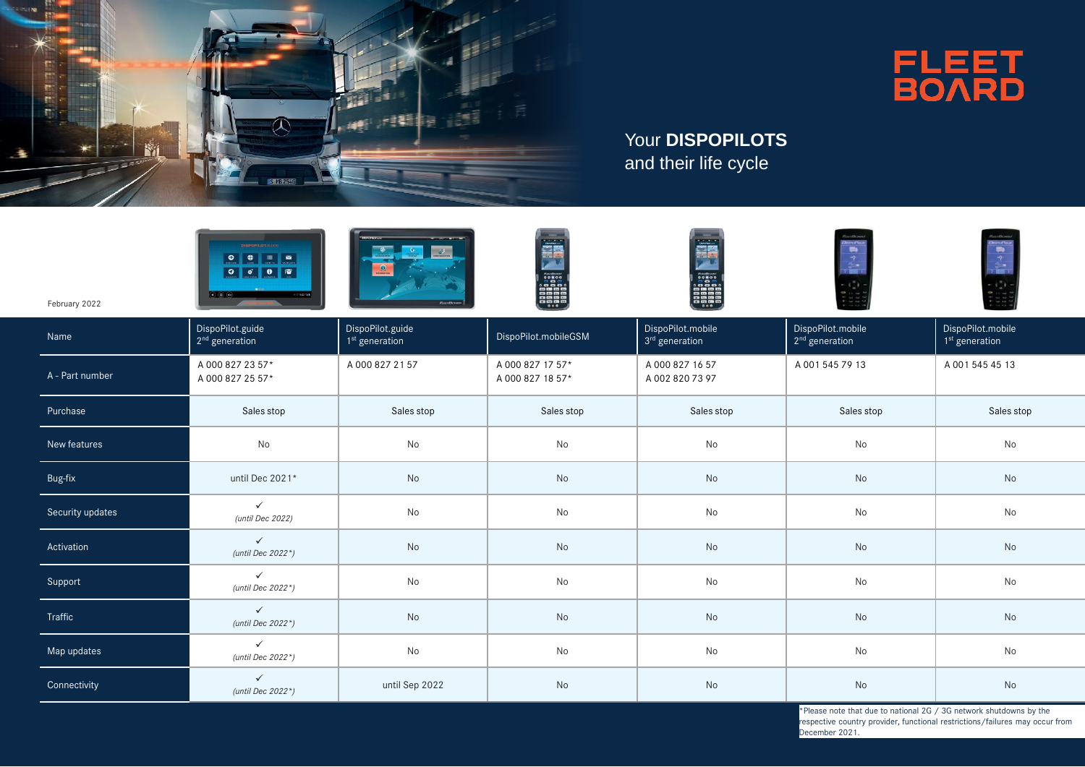



Your **DISPOPILOTS** and their life cycle

| February 2022    | $E$ $Z$<br>$\bullet$<br>$\bullet$<br>$\odot$ $\oplus$ $\odot$<br>$+7900.20$ |                                                |                                      |                                     |                                                 |                                                 |
|------------------|-----------------------------------------------------------------------------|------------------------------------------------|--------------------------------------|-------------------------------------|-------------------------------------------------|-------------------------------------------------|
| Name             | DispoPilot.guide<br>2 <sup>nd</sup> generation                              | DispoPilot.guide<br>1 <sup>st</sup> generation | DispoPilot.mobileGSM                 | DispoPilot.mobile<br>3rd generation | DispoPilot.mobile<br>2 <sup>nd</sup> generation | DispoPilot.mobile<br>1 <sup>st</sup> generation |
| A - Part number  | A 000 827 23 57*<br>A 000 827 25 57*                                        | A 000 827 21 57                                | A 000 827 17 57*<br>A 000 827 18 57* | A 000 827 16 57<br>A 002 820 73 97  | A 001 545 79 13                                 | A 001 545 45 13                                 |
| Purchase         | Sales stop                                                                  | Sales stop                                     | Sales stop                           | Sales stop                          | Sales stop                                      | Sales stop                                      |
| New features     | No                                                                          | No                                             | No                                   | No                                  | No                                              | No                                              |
| Bug-fix          | until Dec 2021*                                                             | No                                             | No                                   | No                                  | No                                              | No                                              |
| Security updates | $\checkmark$<br>(until Dec 2022)                                            | No                                             | No                                   | No                                  | No                                              | No                                              |
| Activation       | $\checkmark$<br>(until Dec $2022^*$ )                                       | No                                             | No                                   | No                                  | No                                              | No                                              |
| Support          | $\checkmark$<br>(until Dec 2022*)                                           | No                                             | No                                   | No                                  | No                                              | No                                              |
| Traffic          | $\checkmark$<br>(until Dec 2022*)                                           | No                                             | No                                   | No                                  | No                                              | No                                              |
| Map updates      | $\checkmark$<br>(until Dec 2022*)                                           | No                                             | No                                   | No                                  | No                                              | No                                              |
| Connectivity     | $\checkmark$<br>(until Dec 2022*)                                           | until Sep 2022                                 | No                                   | No                                  | No                                              | No                                              |

\*Please note that due to national 2G / 3G network shutdowns by the respective country provider, functional restrictions/failures may occur from December 2021.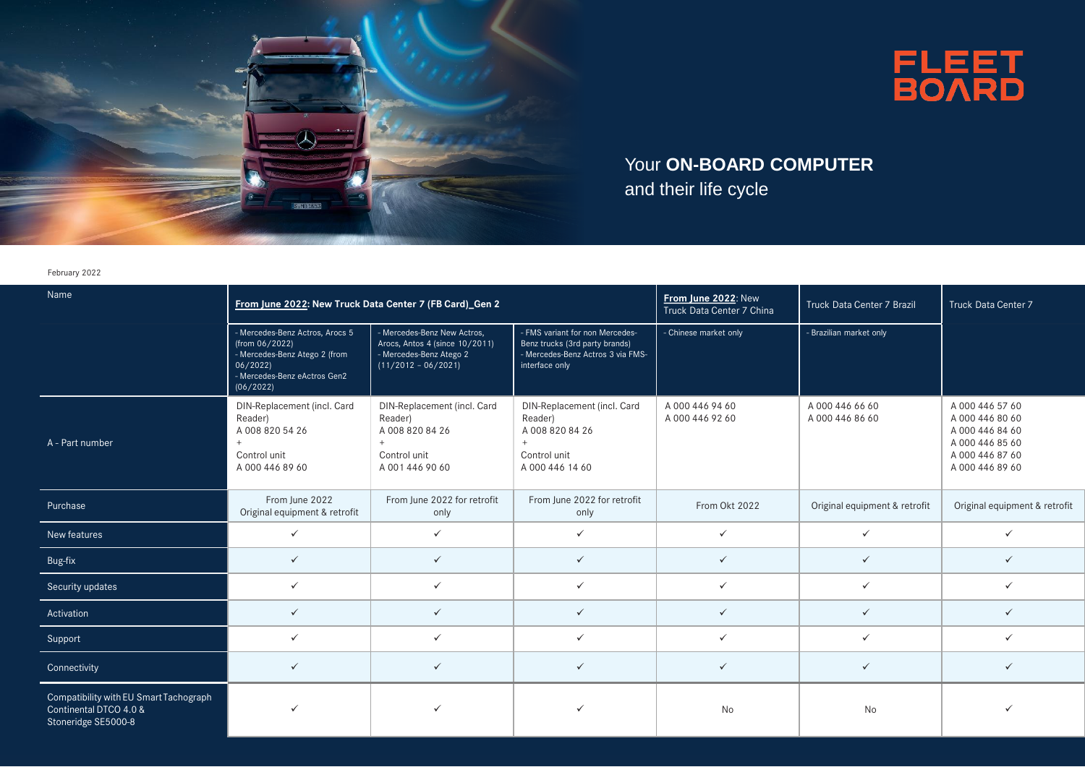



## Your **ON-BOARD COMPUTER** and their life cycle

February 2022

| Name                                                                                    | From June 2022: New Truck Data Center 7 (FB Card)_Gen 2                                                                                    |                                                                                                                   |                                                                                                                          | From June 2022: New<br>Truck Data Center 7 China | Truck Data Center 7 Brazil         | Truck Data Center 7                                                                                            |
|-----------------------------------------------------------------------------------------|--------------------------------------------------------------------------------------------------------------------------------------------|-------------------------------------------------------------------------------------------------------------------|--------------------------------------------------------------------------------------------------------------------------|--------------------------------------------------|------------------------------------|----------------------------------------------------------------------------------------------------------------|
|                                                                                         | - Mercedes-Benz Actros, Arocs 5<br>(from 06/2022)<br>- Mercedes-Benz Atego 2 (from<br>06/2022<br>- Mercedes-Benz eActros Gen2<br>(06/2022) | - Mercedes-Benz New Actros.<br>Arocs, Antos 4 (since 10/2011)<br>- Mercedes-Benz Atego 2<br>$(11/2012 - 06/2021)$ | - FMS variant for non Mercedes-<br>Benz trucks (3rd party brands)<br>- Mercedes-Benz Actros 3 via FMS-<br>interface only | - Chinese market only                            | - Brazilian market only            |                                                                                                                |
| A - Part number                                                                         | DIN-Replacement (incl. Card<br>Reader)<br>A 008 820 54 26<br>Control unit<br>A 000 446 89 60                                               | DIN-Replacement (incl. Card<br>Reader)<br>A 008 820 84 26<br>Control unit<br>A 001 446 90 60                      | DIN-Replacement (incl. Card<br>Reader)<br>A 008 820 84 26<br>$+$<br>Control unit<br>A 000 446 14 60                      | A 000 446 94 60<br>A 000 446 92 60               | A 000 446 66 60<br>A 000 446 86 60 | A 000 446 57 60<br>A 000 446 80 60<br>A 000 446 84 60<br>A 000 446 85 60<br>A 000 446 87 60<br>A 000 446 89 60 |
| Purchase                                                                                | From June 2022<br>Original equipment & retrofit                                                                                            | From June 2022 for retrofit<br>only                                                                               | From June 2022 for retrofit<br>only                                                                                      | From Okt 2022                                    | Original equipment & retrofit      | Original equipment & retrofit                                                                                  |
| New features                                                                            | $\checkmark$                                                                                                                               | $\checkmark$                                                                                                      | ✓                                                                                                                        | ✓                                                | ✓                                  |                                                                                                                |
| Bug-fix                                                                                 | $\checkmark$                                                                                                                               | $\checkmark$                                                                                                      | $\checkmark$                                                                                                             | $\checkmark$                                     | $\checkmark$                       |                                                                                                                |
| Security updates                                                                        | $\checkmark$                                                                                                                               | $\checkmark$                                                                                                      | ✓                                                                                                                        | $\checkmark$                                     | $\checkmark$                       |                                                                                                                |
| Activation                                                                              | $\checkmark$                                                                                                                               | $\checkmark$                                                                                                      | $\checkmark$                                                                                                             | $\checkmark$                                     | $\checkmark$                       | $\checkmark$                                                                                                   |
| Support                                                                                 | $\checkmark$                                                                                                                               | ✓                                                                                                                 | ✓                                                                                                                        | $\checkmark$                                     | ✓                                  | $\checkmark$                                                                                                   |
| Connectivity                                                                            | ✓                                                                                                                                          |                                                                                                                   | ✓                                                                                                                        | $\checkmark$                                     | ✓                                  |                                                                                                                |
| Compatibility with EU Smart Tachograph<br>Continental DTCO 4.0 &<br>Stoneridge SE5000-8 | $\checkmark$                                                                                                                               |                                                                                                                   |                                                                                                                          | No                                               | No                                 |                                                                                                                |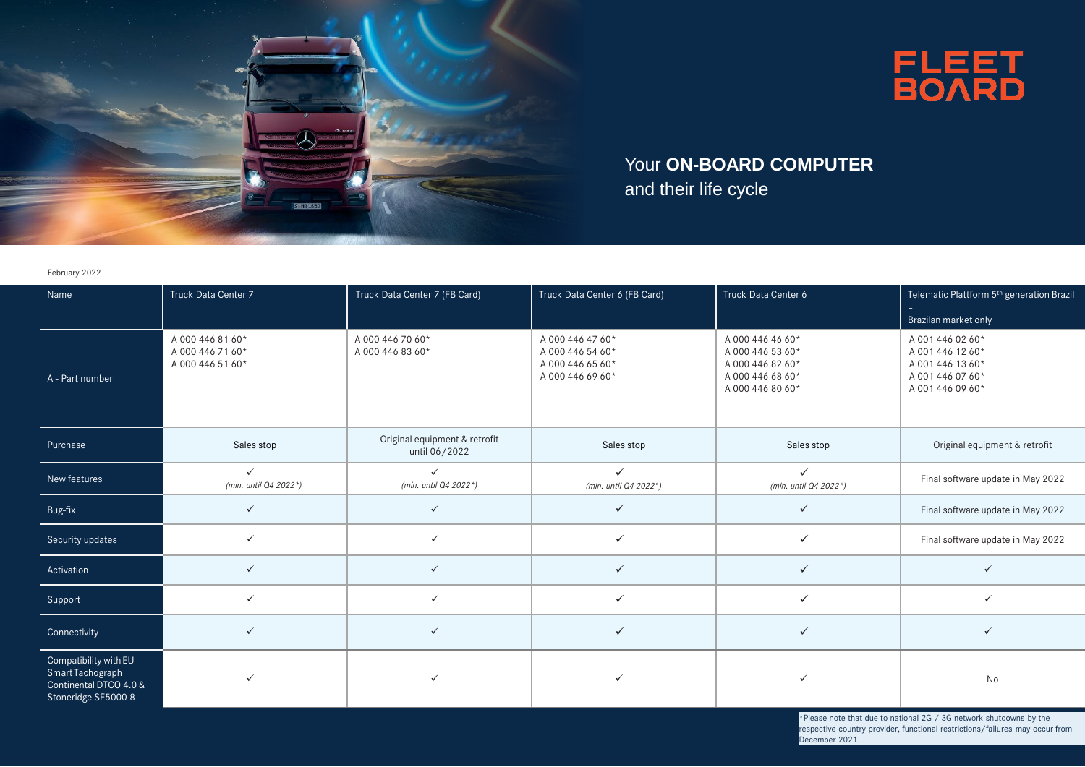



## Your **ON-BOARD COMPUTER** and their life cycle

February 2022

| Name                                                                                       | Truck Data Center 7                                      | Truck Data Center 7 (FB Card)                  | Truck Data Center 6 (FB Card)                                                | Truck Data Center 6                                                                              | Telematic Plattform 5 <sup>th</sup> generation Brazil                                            |
|--------------------------------------------------------------------------------------------|----------------------------------------------------------|------------------------------------------------|------------------------------------------------------------------------------|--------------------------------------------------------------------------------------------------|--------------------------------------------------------------------------------------------------|
|                                                                                            |                                                          |                                                |                                                                              |                                                                                                  | Brazilan market only                                                                             |
| A - Part number                                                                            | A 000 446 81 60*<br>A 000 446 71 60*<br>A 000 446 51 60* | A 000 446 70 60*<br>A 000 446 83 60*           | A 000 446 47 60*<br>A 000 446 54 60*<br>A 000 446 65 60*<br>A 000 446 69 60* | A 000 446 46 60*<br>A 000 446 53 60*<br>A 000 446 82 60*<br>A 000 446 68 60*<br>A 000 446 80 60* | A 001 446 02 60*<br>A 001 446 12 60*<br>A 001 446 13 60*<br>A 001 446 07 60*<br>A 001 446 09 60* |
| Purchase                                                                                   | Sales stop                                               | Original equipment & retrofit<br>until 06/2022 | Sales stop                                                                   | Sales stop                                                                                       | Original equipment & retrofit                                                                    |
| New features                                                                               | $\checkmark$<br>(min. until Q4 2022*)                    | $\checkmark$<br>(min. until Q4 2022*)          | $\checkmark$<br>(min. until Q4 2022*)                                        | ✓<br>(min. until Q4 2022*)                                                                       | Final software update in May 2022                                                                |
| Bug-fix                                                                                    | $\checkmark$                                             | $\checkmark$                                   | $\checkmark$                                                                 | $\checkmark$                                                                                     | Final software update in May 2022                                                                |
| Security updates                                                                           | $\checkmark$                                             | $\checkmark$                                   | $\checkmark$                                                                 | ✓                                                                                                | Final software update in May 2022                                                                |
| Activation                                                                                 | $\checkmark$                                             | $\checkmark$                                   | $\checkmark$                                                                 | ✓                                                                                                | ✓                                                                                                |
| Support                                                                                    | $\checkmark$                                             | $\checkmark$                                   | $\checkmark$                                                                 | ✓                                                                                                | ✓                                                                                                |
| Connectivity                                                                               | $\checkmark$                                             | $\checkmark$                                   | $\checkmark$                                                                 | ✓                                                                                                | ✓                                                                                                |
| Compatibility with EU<br>Smart Tachograph<br>Continental DTCO 4.0 &<br>Stoneridge SE5000-8 | ✓                                                        | $\checkmark$                                   | $\checkmark$                                                                 | $\checkmark$                                                                                     | No                                                                                               |